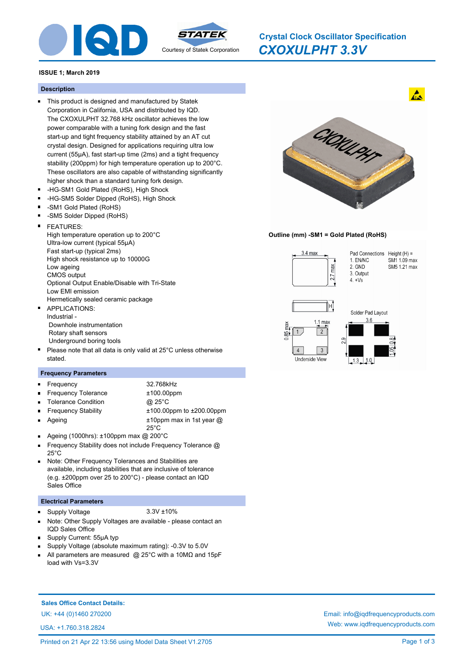

# *CXOXULPHT 3.3V* **Crystal Clock Oscillator Specification**

#### **ISSUE 1; March 2019**

#### **Description**

- This product is designed and manufactured by Statek Corporation in California, USA and distributed by IQD. The CXOXULPHT 32.768 kHz oscillator achieves the low power comparable with a tuning fork design and the fast start-up and tight frequency stability attained by an AT cut crystal design. Designed for applications requiring ultra low current (55µA), fast start-up time (2ms) and a tight frequency stability (200ppm) for high temperature operation up to 200°C. These oscillators are also capable of withstanding significantly higher shock than a standard tuning fork design.
- -HG-SM1 Gold Plated (RoHS), High Shock
- $\blacksquare$ -HG-SM5 Solder Dipped (RoHS), High Shock
- -SM1 Gold Plated (RoHS)
- -SM5 Solder Dipped (RoHS)
- FEATURES: High temperature operation up to 200°C Ultra-low current (typical 55μA) Fast start-up (typical 2ms) High shock resistance up to 10000G Low ageing CMOS output Optional Output Enable/Disable with Tri-State Low EMI emission Hermetically sealed ceramic package
- APPLICATIONS: Industrial - Downhole instrumentation Rotary shaft sensors Underground boring tools
- Please note that all data is only valid at 25°C unless otherwise  $\blacksquare$ stated.

### **Frequency Parameters**

Frequency 32.768kHz

Ageing

ř.

- Frequency Tolerance  $±100.00$ ppm
- Tolerance Condition @ 25°C
	-
- Frequency Stability ±100.00ppm to ±200.00ppm ±10ppm max in 1st year @
- 25°C
- $\blacksquare$ Ageing (1000hrs): ±100ppm max @ 200°C
- Frequency Stability does not include Frequency Tolerance @ 25°C
- Note: Other Frequency Tolerances and Stabilities are available, including stabilities that are inclusive of tolerance (e.g. ±200ppm over 25 to 200°C) - please contact an IQD Sales Office

#### **Electrical Parameters**

#### Supply Voltage 3.3V ±10%  $\blacksquare$

- Note: Other Supply Voltages are available please contact an IQD Sales Office
- Supply Current: 55μA typ
- Supply Voltage (absolute maximum rating): -0.3V to 5.0V
- All parameters are measured @ 25°C with a 10MΩ and 15pF load with Vs=3.3V



 $\mathbf{A}$ 

**Outline (mm) -SM1 = Gold Plated (RoHS)**



# **Sales Office Contact Details:**

USA: +1.760.318.2824

UK: +44 (0)1460 270200 Email: info@iqdfrequencyproducts.com Web: www.iqdfrequencyproducts.com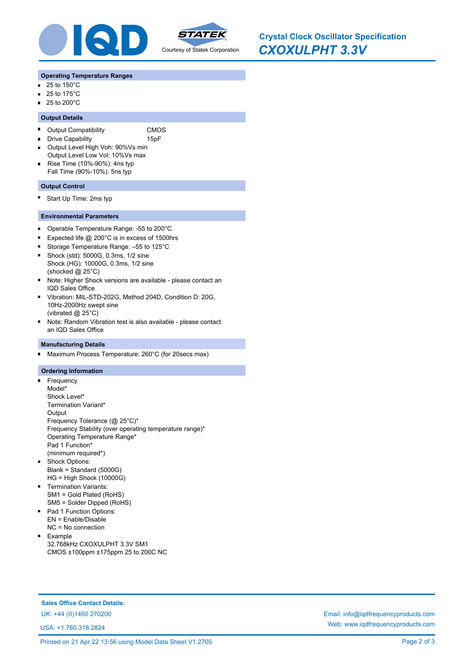

*CXOXULPHT 3.3V* **Crystal Clock Oscillator Specification**

#### **Operating Temperature Ranges**

- 25 to 150°C  $\blacksquare$
- 25 to 175°C  $\blacksquare$
- $\blacksquare$  25 to 200 $^{\circ}$ C

#### **Output Details**

- $\blacksquare$ Output Compatibility CMOS
- Drive Capability **15pF**  $\blacksquare$
- Output Level High Voh: 90%Vs min  $\blacksquare$ Output Level Low Vol: 10%Vs max
- Rise Time (10%-90%): 4ns typ Fall Time (90%-10%): 5ns typ

#### **Output Control**

 $\blacksquare$ Start Up Time: 2ms typ

#### **Environmental Parameters**

- $\blacksquare$ Operable Temperature Range: -55 to 200°C
- Expected life @ 200°C is in excess of 1500hrs  $\blacksquare$
- Storage Temperature Range: –55 to 125°C  $\blacksquare$
- Shock (std): 5000G, 0.3ms, 1/2 sine Shock (HG): 10000G, 0.3ms, 1/2 sine (shocked @ 25°C)
- $\blacksquare$ Note: Higher Shock versions are available - please contact an IQD Sales Office
- Vibration: MIL-STD-202G, Method 204D, Condition D: 20G, 10Hz-2000Hz swept sine (vibrated @ 25°C)
- Note: Random Vibration test is also available please contact an IQD Sales Office

#### **Manufacturing Details**

Maximum Process Temperature: 260°C (for 20secs max) O,

#### **Ordering Information**

- n. Frequency Model\* Shock Level\* Termination Variant\* **Output** Frequency Tolerance (@ 25°C)\* Frequency Stability (over operating temperature range)\* Operating Temperature Range\* Pad 1 Function\* (minimum required\*) Shock Options:
- Blank = Standard (5000G) HG = High Shock (10000G)
- **Termination Variants:** SM1 = Gold Plated (RoHS) SM5 = Solder Dipped (RoHS)
- Pad 1 Function Options: EN = Enable/Disable NC = No connection
- $\blacksquare$ Example 32.768kHz CXOXULPHT 3.3V SM1 CMOS ±100ppm ±175ppm 25 to 200C NC

**Sales Office Contact Details:**

USA: +1.760.318.2824

UK: +44 (0)1460 270200 Email: info@iqdfrequencyproducts.com Web: www.iqdfrequencyproducts.com